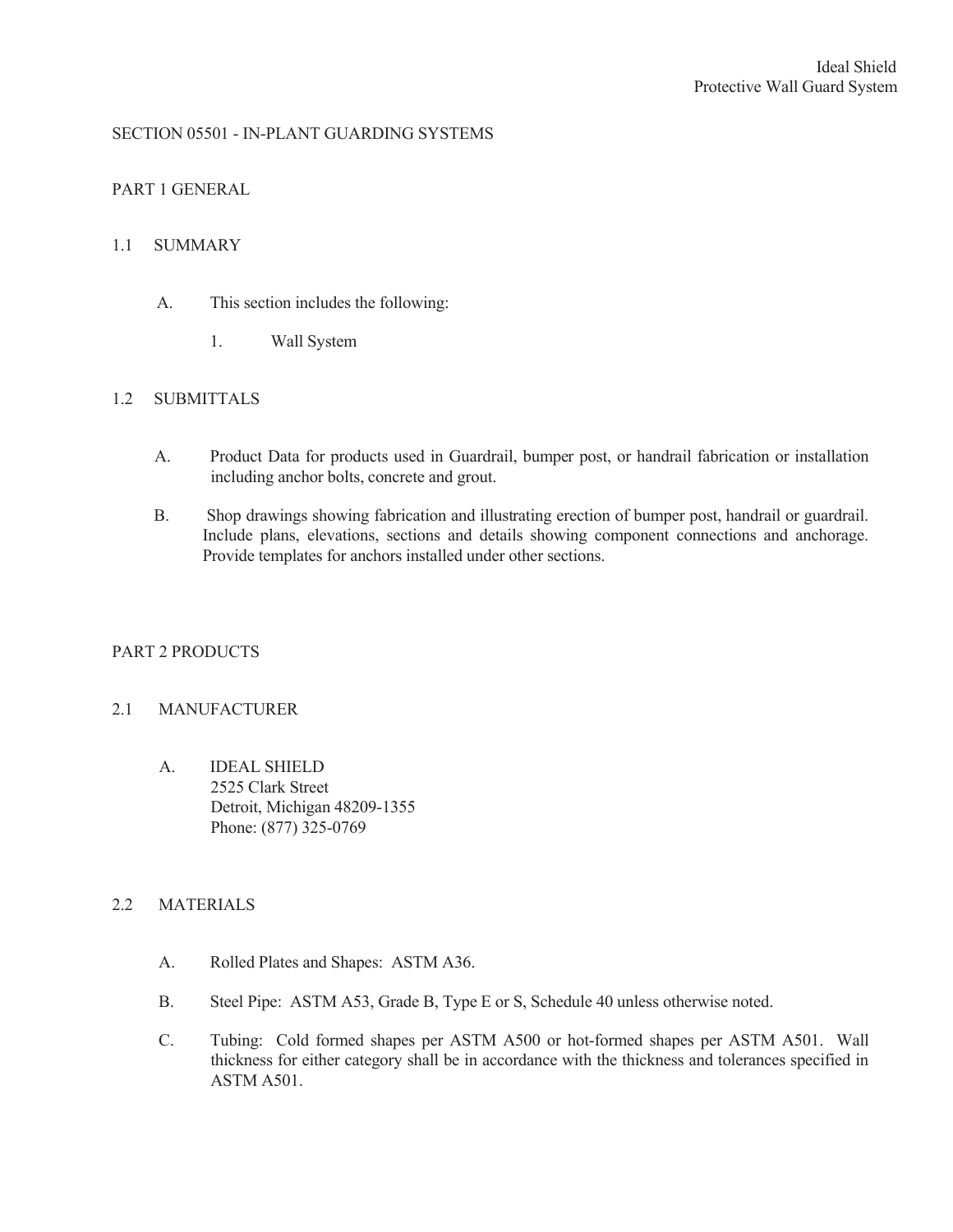# SECTION 05501 - IN-PLANT GUARDING SYSTEMS

## PART 1 GENERAL

### 1.1 SUMMARY

- A. This section includes the following:
	- 1. Wall System

## 1.2 SUBMITTALS

- A. Product Data for products used in Guardrail, bumper post, or handrail fabrication or installation including anchor bolts, concrete and grout.
- B. Shop drawings showing fabrication and illustrating erection of bumper post, handrail or guardrail. Include plans, elevations, sections and details showing component connections and anchorage. Provide templates for anchors installed under other sections.

### PART 2 PRODUCTS

### 2.1 MANUFACTURER

A. IDEAL SHIELD 2525 Clark Street Detroit, Michigan 48209-1355 Phone: (877) 325-0769

### 2.2 MATERIALS

- A. Rolled Plates and Shapes: ASTM A36.
- B. Steel Pipe: ASTM A53, Grade B, Type E or S, Schedule 40 unless otherwise noted.
- C. Tubing: Cold formed shapes per ASTM A500 or hot-formed shapes per ASTM A501. Wall thickness for either category shall be in accordance with the thickness and tolerances specified in ASTM A501.